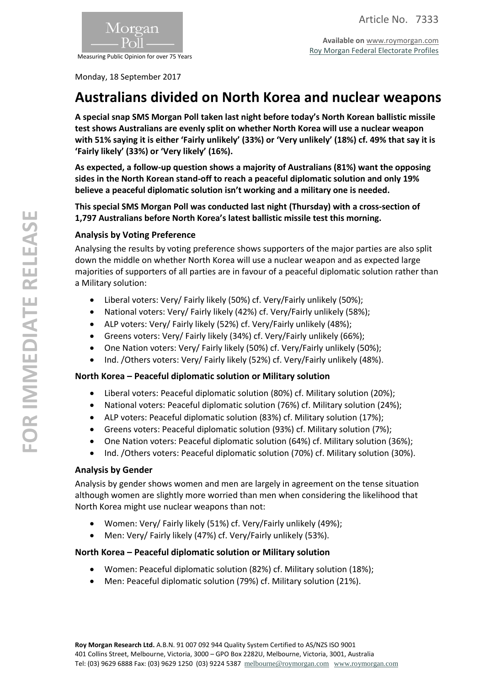

Measuring Public Opinion for over 75 Years

Monday, 18 September 2017

# **Australians divided on North Korea and nuclear weapons**

**A special snap SMS Morgan Poll taken last night before today's North Korean ballistic missile test shows Australians are evenly split on whether North Korea will use a nuclear weapon with 51% saying it is either 'Fairly unlikely' (33%) or 'Very unlikely' (18%) cf. 49% that say it is 'Fairly likely' (33%) or 'Very likely' (16%).**

**As expected, a follow-up question shows a majority of Australians (81%) want the opposing sides in the North Korean stand-off to reach a peaceful diplomatic solution and only 19% believe a peaceful diplomatic solution isn't working and a military one is needed.**

**This special SMS Morgan Poll was conducted last night (Thursday) with a cross-section of 1,797 Australians before North Korea's latest ballistic missile test this morning.**

# **Analysis by Voting Preference**

Analysing the results by voting preference shows supporters of the major parties are also split down the middle on whether North Korea will use a nuclear weapon and as expected large majorities of supporters of all parties are in favour of a peaceful diplomatic solution rather than a Military solution:

- Liberal voters: Very/ Fairly likely (50%) cf. Very/Fairly unlikely (50%);
- National voters: Very/ Fairly likely (42%) cf. Very/Fairly unlikely (58%);
- ALP voters: Very/ Fairly likely (52%) cf. Very/Fairly unlikely (48%);
- Greens voters: Very/ Fairly likely (34%) cf. Very/Fairly unlikely (66%);
- One Nation voters: Very/ Fairly likely (50%) cf. Very/Fairly unlikely (50%);
- Ind. /Others voters: Very/ Fairly likely (52%) cf. Very/Fairly unlikely (48%).

# **North Korea – Peaceful diplomatic solution or Military solution**

- Liberal voters: Peaceful diplomatic solution (80%) cf. Military solution (20%);
- National voters: Peaceful diplomatic solution (76%) cf. Military solution (24%);
- ALP voters: Peaceful diplomatic solution (83%) cf. Military solution (17%);
- Greens voters: Peaceful diplomatic solution (93%) cf. Military solution (7%);
- One Nation voters: Peaceful diplomatic solution (64%) cf. Military solution (36%);
- Ind. /Others voters: Peaceful diplomatic solution (70%) cf. Military solution (30%).

#### **Analysis by Gender**

Analysis by gender shows women and men are largely in agreement on the tense situation although women are slightly more worried than men when considering the likelihood that North Korea might use nuclear weapons than not:

- Women: Very/ Fairly likely (51%) cf. Very/Fairly unlikely (49%);
- Men: Very/ Fairly likely (47%) cf. Very/Fairly unlikely (53%).

# **North Korea – Peaceful diplomatic solution or Military solution**

- Women: Peaceful diplomatic solution (82%) cf. Military solution (18%);
- Men: Peaceful diplomatic solution (79%) cf. Military solution (21%).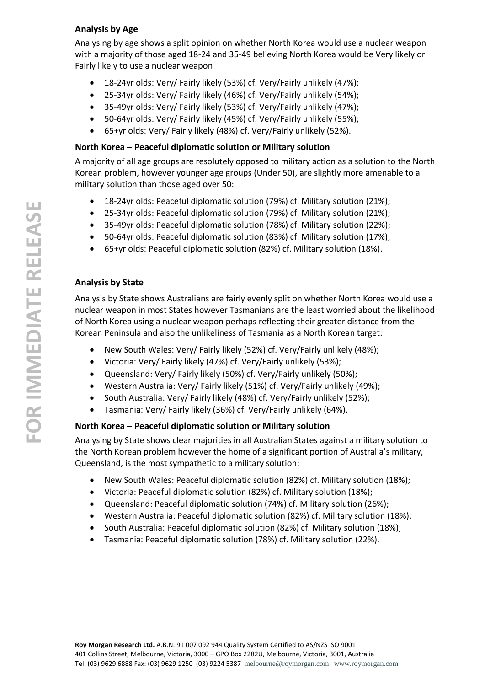# **Analysis by Age**

Analysing by age shows a split opinion on whether North Korea would use a nuclear weapon with a majority of those aged 18-24 and 35-49 believing North Korea would be Very likely or Fairly likely to use a nuclear weapon

- 18-24yr olds: Very/ Fairly likely (53%) cf. Very/Fairly unlikely (47%);
- 25-34yr olds: Very/ Fairly likely (46%) cf. Very/Fairly unlikely (54%);
- 35-49yr olds: Very/ Fairly likely (53%) cf. Very/Fairly unlikely (47%);
- 50-64yr olds: Very/ Fairly likely (45%) cf. Very/Fairly unlikely (55%);
- 65+yr olds: Very/ Fairly likely (48%) cf. Very/Fairly unlikely (52%).

# **North Korea – Peaceful diplomatic solution or Military solution**

A majority of all age groups are resolutely opposed to military action as a solution to the North Korean problem, however younger age groups (Under 50), are slightly more amenable to a military solution than those aged over 50:

- 18-24yr olds: Peaceful diplomatic solution (79%) cf. Military solution (21%);
- 25-34yr olds: Peaceful diplomatic solution (79%) cf. Military solution (21%);
- 35-49yr olds: Peaceful diplomatic solution (78%) cf. Military solution (22%);
- 50-64yr olds: Peaceful diplomatic solution (83%) cf. Military solution (17%);
- 65+yr olds: Peaceful diplomatic solution (82%) cf. Military solution (18%).

# **Analysis by State**

Analysis by State shows Australians are fairly evenly split on whether North Korea would use a nuclear weapon in most States however Tasmanians are the least worried about the likelihood of North Korea using a nuclear weapon perhaps reflecting their greater distance from the Korean Peninsula and also the unlikeliness of Tasmania as a North Korean target:

- New South Wales: Very/ Fairly likely (52%) cf. Very/Fairly unlikely (48%);
- Victoria: Very/ Fairly likely (47%) cf. Very/Fairly unlikely (53%);
- Queensland: Very/ Fairly likely (50%) cf. Very/Fairly unlikely (50%);
- Western Australia: Very/ Fairly likely (51%) cf. Very/Fairly unlikely (49%);
- South Australia: Very/ Fairly likely (48%) cf. Very/Fairly unlikely (52%);
- Tasmania: Very/ Fairly likely (36%) cf. Very/Fairly unlikely (64%).

# **North Korea – Peaceful diplomatic solution or Military solution**

Analysing by State shows clear majorities in all Australian States against a military solution to the North Korean problem however the home of a significant portion of Australia's military, Queensland, is the most sympathetic to a military solution:

- New South Wales: Peaceful diplomatic solution (82%) cf. Military solution (18%);
- Victoria: Peaceful diplomatic solution (82%) cf. Military solution (18%);
- Queensland: Peaceful diplomatic solution (74%) cf. Military solution (26%);
- Western Australia: Peaceful diplomatic solution (82%) cf. Military solution (18%);
- South Australia: Peaceful diplomatic solution (82%) cf. Military solution (18%);
- Tasmania: Peaceful diplomatic solution (78%) cf. Military solution (22%).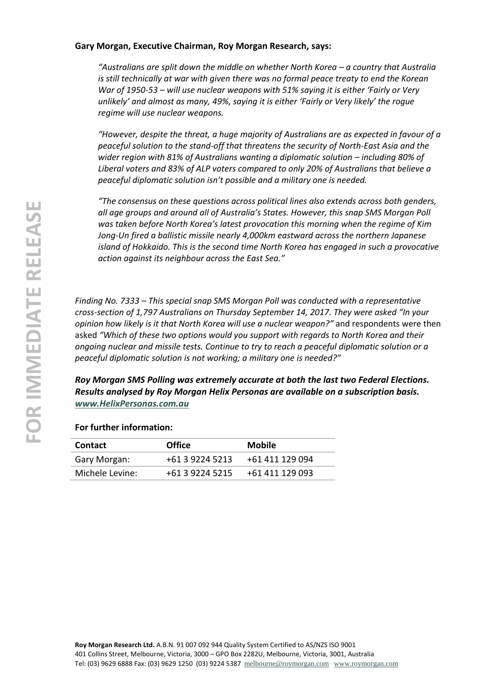#### **Gary Morgan, Executive Chairman, Roy Morgan Research, says:**

*"Australians are split down the middle on whether North Korea – a country that Australia is still technically at war with given there was no formal peace treaty to end the Korean War of 1950-53 – will use nuclear weapons with 51% saying it is either 'Fairly or Very unlikely' and almost as many, 49%, saying it is either 'Fairly or Very likely' the rogue regime will use nuclear weapons.*

*"However, despite the threat, a huge majority of Australians are as expected in favour of a peaceful solution to the stand-off that threatens the security of North-East Asia and the wider region with 81% of Australians wanting a diplomatic solution – including 80% of Liberal voters and 83% of ALP voters compared to only 20% of Australians that believe a peaceful diplomatic solution isn't possible and a military one is needed.*

*"The consensus on these questions across political lines also extends across both genders, all age groups and around all of Australia's States. However, this snap SMS Morgan Poll was taken before North Korea's latest provocation this morning when the regime of Kim Jong-Un fired a ballistic missile nearly 4,000km eastward across the northern Japanese island of Hokkaido. This is the second time North Korea has engaged in such a provocative action against its neighbour across the East Sea."*

*Finding No. 7333 – This special snap SMS Morgan Poll was conducted with a representative cross-section of 1,797 Australians on Thursday September 14, 2017. They were asked "In your opinion how likely is it that North Korea will use a nuclear weapon?"* and respondents were then asked *"Which of these two options would you support with regards to North Korea and their ongoing nuclear and missile tests. Continue to try to reach a peaceful diplomatic solution or a peaceful diplomatic solution is not working; a military one is needed?"*

*Roy Morgan SMS Polling was extremely accurate at both the last two Federal Elections. Results analysed by Roy Morgan Helix Personas are available on a subscription basis. [www.HelixPersonas.com.au](http://www.helixpersonas.com.au/)*

#### **For further information:**

| <b>Contact</b>  | <b>Office</b>   | <b>Mobile</b>   |
|-----------------|-----------------|-----------------|
| Gary Morgan:    | +61 3 9224 5213 | +61 411 129 094 |
| Michele Levine: | +61 3 9224 5215 | +61 411 129 093 |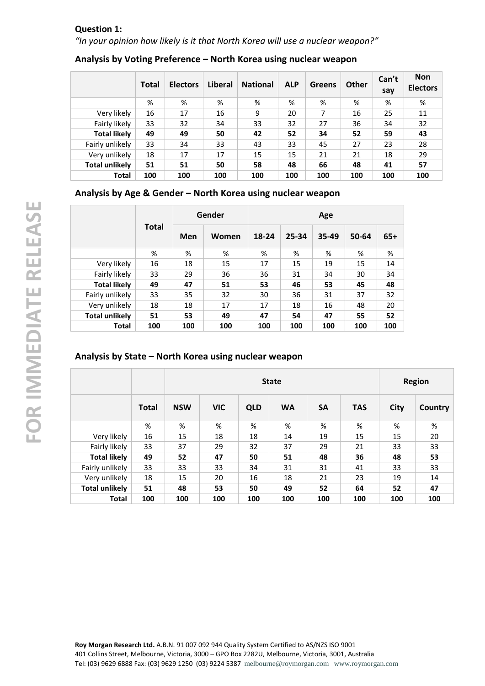# **Question 1:** *"In your opinion how likely is it that North Korea will use a nuclear weapon?"*

|                       | <b>Total</b> | <b>Electors</b> | Liberal | <b>National</b> | <b>ALP</b> | <b>Greens</b> | <b>Other</b> | Can't<br>say | <b>Non</b><br><b>Electors</b> |
|-----------------------|--------------|-----------------|---------|-----------------|------------|---------------|--------------|--------------|-------------------------------|
|                       | %            | %               | %       | %               | %          | %             | %            | %            | %                             |
| Very likely           | 16           | 17              | 16      | 9               | 20         | 7             | 16           | 25           | 11                            |
| Fairly likely         | 33           | 32              | 34      | 33              | 32         | 27            | 36           | 34           | 32                            |
| <b>Total likely</b>   | 49           | 49              | 50      | 42              | 52         | 34            | 52           | 59           | 43                            |
| Fairly unlikely       | 33           | 34              | 33      | 43              | 33         | 45            | 27           | 23           | 28                            |
| Very unlikely         | 18           | 17              | 17      | 15              | 15         | 21            | 21           | 18           | 29                            |
| <b>Total unlikely</b> | 51           | 51              | 50      | 58              | 48         | 66            | 48           | 41           | 57                            |
| Total                 | 100          | 100             | 100     | 100             | 100        | 100           | 100          | 100          | 100                           |

# **Analysis by Voting Preference – North Korea using nuclear weapon**

#### **Analysis by Age & Gender – North Korea using nuclear weapon**

|                       | <b>Total</b> | Gender |       | Age   |       |       |       |       |  |
|-----------------------|--------------|--------|-------|-------|-------|-------|-------|-------|--|
|                       |              | Men    | Women | 18-24 | 25-34 | 35-49 | 50-64 | $65+$ |  |
|                       | %            | %      | %     | %     | %     | %     | %     | %     |  |
| Very likely           | 16           | 18     | 15    | 17    | 15    | 19    | 15    | 14    |  |
| Fairly likely         | 33           | 29     | 36    | 36    | 31    | 34    | 30    | 34    |  |
| <b>Total likely</b>   | 49           | 47     | 51    | 53    | 46    | 53    | 45    | 48    |  |
| Fairly unlikely       | 33           | 35     | 32    | 30    | 36    | 31    | 37    | 32    |  |
| Very unlikely         | 18           | 18     | 17    | 17    | 18    | 16    | 48    | 20    |  |
| <b>Total unlikely</b> | 51           | 53     | 49    | 47    | 54    | 47    | 55    | 52    |  |
| Total                 | 100          | 100    | 100   | 100   | 100   | 100   | 100   | 100   |  |

#### **Analysis by State – North Korea using nuclear weapon**

|                       |              |            |            | <b>Region</b> |           |           |            |             |         |
|-----------------------|--------------|------------|------------|---------------|-----------|-----------|------------|-------------|---------|
|                       | <b>Total</b> | <b>NSW</b> | <b>VIC</b> | <b>QLD</b>    | <b>WA</b> | <b>SA</b> | <b>TAS</b> | <b>City</b> | Country |
|                       | %            | %          | %          | %             | %         | %         | %          | %           | %       |
| Very likely           | 16           | 15         | 18         | 18            | 14        | 19        | 15         | 15          | 20      |
| Fairly likely         | 33           | 37         | 29         | 32            | 37        | 29        | 21         | 33          | 33      |
| <b>Total likely</b>   | 49           | 52         | 47         | 50            | 51        | 48        | 36         | 48          | 53      |
| Fairly unlikely       | 33           | 33         | 33         | 34            | 31        | 31        | 41         | 33          | 33      |
| Very unlikely         | 18           | 15         | 20         | 16            | 18        | 21        | 23         | 19          | 14      |
| <b>Total unlikely</b> | 51           | 48         | 53         | 50            | 49        | 52        | 64         | 52          | 47      |
| <b>Total</b>          | 100          | 100        | 100        | 100           | 100       | 100       | 100        | 100         | 100     |

**Roy Morgan Research Ltd.** A.B.N. 91 007 092 944 Quality System Certified to AS/NZS ISO 9001 401 Collins Street, Melbourne, Victoria, 3000 – GPO Box 2282U, Melbourne, Victoria, 3001, Australia Tel: (03) 9629 6888 Fax: (03) 9629 1250 (03) 9224 5387 [melbourne@roymorgan.com](mailto:melbourne@roymorgan.com) [www.roymorgan.com](http://www.roymorgan.com/)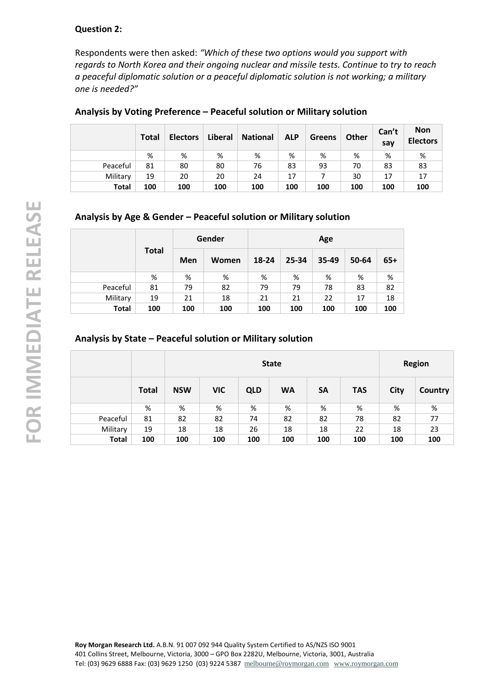#### **Question 2:**

Respondents were then asked: *"Which of these two options would you support with regards to North Korea and their ongoing nuclear and missile tests. Continue to try to reach a peaceful diplomatic solution or a peaceful diplomatic solution is not working; a military one is needed?"*

|              | <b>Total</b> | <b>Electors</b> | Liberal | <b>National</b> | <b>ALP</b> | Greens | Other | Can't<br>say | <b>Non</b><br><b>Electors</b> |
|--------------|--------------|-----------------|---------|-----------------|------------|--------|-------|--------------|-------------------------------|
|              | %            | %               | %       | %               | %          | %      | %     | %            | %                             |
| Peaceful     | 81           | 80              | 80      | 76              | 83         | 93     | 70    | 83           | 83                            |
| Military     | 19           | 20              | 20      | 24              | 17         |        | 30    | 17           | 17                            |
| <b>Total</b> | 100          | 100             | 100     | 100             | 100        | 100    | 100   | 100          | 100                           |

#### **Analysis by Voting Preference – Peaceful solution or Military solution**

# **Analysis by Age & Gender – Peaceful solution or Military solution**

|              | <b>Total</b> |     | Gender |       | Age   |       |       |       |  |
|--------------|--------------|-----|--------|-------|-------|-------|-------|-------|--|
|              |              | Men | Women  | 18-24 | 25-34 | 35-49 | 50-64 | $65+$ |  |
|              | %            | %   | %      | %     | %     | %     | %     | %     |  |
| Peaceful     | 81           | 79  | 82     | 79    | 79    | 78    | 83    | 82    |  |
| Military     | 19           | 21  | 18     | 21    | 21    | 22    | 17    | 18    |  |
| <b>Total</b> | 100          | 100 | 100    | 100   | 100   | 100   | 100   | 100   |  |

#### **Analysis by State – Peaceful solution or Military solution**

|              |              |            |            |            | <b>Region</b> |           |            |             |         |
|--------------|--------------|------------|------------|------------|---------------|-----------|------------|-------------|---------|
|              | <b>Total</b> | <b>NSW</b> | <b>VIC</b> | <b>QLD</b> | <b>WA</b>     | <b>SA</b> | <b>TAS</b> | <b>City</b> | Country |
|              | %            | %          | %          | %          | %             | %         | %          | %           | %       |
| Peaceful     | 81           | 82         | 82         | 74         | 82            | 82        | 78         | 82          | 77      |
| Military     | 19           | 18         | 18         | 26         | 18            | 18        | 22         | 18          | 23      |
| <b>Total</b> | 100          | 100        | 100        | 100        | 100           | 100       | 100        | 100         | 100     |

**Roy Morgan Research Ltd.** A.B.N. 91 007 092 944 Quality System Certified to AS/NZS ISO 9001 401 Collins Street, Melbourne, Victoria, 3000 – GPO Box 2282U, Melbourne, Victoria, 3001, Australia Tel: (03) 9629 6888 Fax: (03) 9629 1250 (03) 9224 5387 [melbourne@roymorgan.com](mailto:melbourne@roymorgan.com) [www.roymorgan.com](http://www.roymorgan.com/)